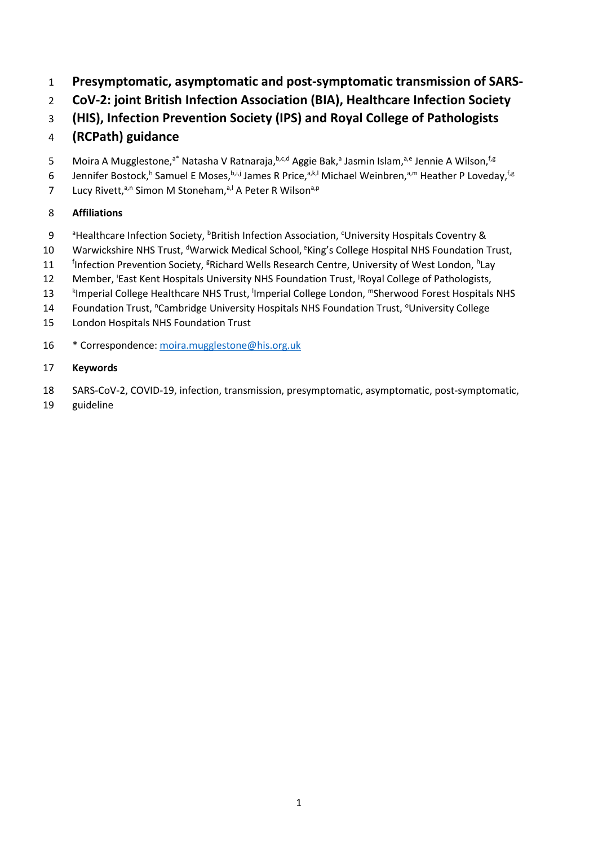- 1 **Presymptomatic, asymptomatic and post-symptomatic transmission of SARS-**
- 2 **CoV-2: joint British Infection Association (BIA), Healthcare Infection Society**
- 3 **(HIS), Infection Prevention Society (IPS) and Royal College of Pathologists**
- 4 **(RCPath) guidance**
- 5 Moira A Mugglestone,<sup>a\*</sup> Natasha V Ratnaraja,<sup>b,c,d</sup> Aggie Bak,<sup>a</sup> Jasmin Islam,<sup>a,e</sup> Jennie A Wilson,<sup>f,g</sup>
- 6 Jennifer Bostock,<sup>h</sup> Samuel E Moses, b,i,j James R Price, a,k,l Michael Weinbren, a,m Heather P Loveday, f.g
- 7 Lucy Rivett,<sup>a,n</sup> Simon M Stoneham,<sup>a,l</sup> A Peter R Wilson<sup>a,p</sup>

## 8 **Affiliations**

- 9 <sup>a</sup>Healthcare Infection Society, <sup>b</sup>British Infection Association, <sup>c</sup> University Hospitals Coventry &
- 10 Warwickshire NHS Trust, <sup>d</sup>Warwick Medical School, <sup>e</sup>King's College Hospital NHS Foundation Trust,
- 11 finfection Prevention Society, <sup>g</sup>Richard Wells Research Centre, University of West London, <sup>h</sup>Lay
- 12 Member, <sup>i</sup>East Kent Hospitals University NHS Foundation Trust, <sup>j</sup>Royal College of Pathologists,
- k Imperial College Healthcare NHS Trust, <sup>l</sup> Imperial College London, <sup>m</sup> 13 Sherwood Forest Hospitals NHS
- 14 Foundation Trust, "Cambridge University Hospitals NHS Foundation Trust, <sup>o</sup> University College
- 15 London Hospitals NHS Foundation Trust
- 16 \* Correspondence: [moira.mugglestone@his.org.uk](mailto:moira.mugglestone@his.org.uk)

### 17 **Keywords**

- 18 SARS-CoV-2, COVID-19, infection, transmission, presymptomatic, asymptomatic, post-symptomatic,
- 19 guideline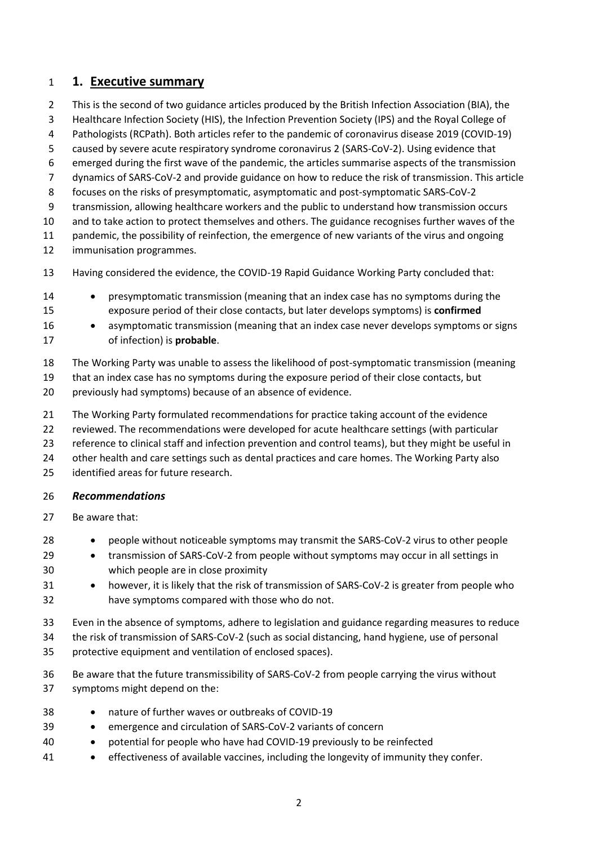### **1. Executive summary**

- This is the second of two guidance articles produced by the British Infection Association (BIA), the
- Healthcare Infection Society (HIS), the Infection Prevention Society (IPS) and the Royal College of
- Pathologists (RCPath). Both articles refer to the pandemic of coronavirus disease 2019 (COVID-19)
- caused by severe acute respiratory syndrome coronavirus 2 (SARS-CoV-2). Using evidence that
- emerged during the first wave of the pandemic, the articles summarise aspects of the transmission
- dynamics of SARS-CoV-2 and provide guidance on how to reduce the risk of transmission. This article
- focuses on the risks of presymptomatic, asymptomatic and post-symptomatic SARS-CoV-2
- transmission, allowing healthcare workers and the public to understand how transmission occurs

and to take action to protect themselves and others. The guidance recognises further waves of the

- 11 pandemic, the possibility of reinfection, the emergence of new variants of the virus and ongoing
- immunisation programmes.
- Having considered the evidence, the COVID-19 Rapid Guidance Working Party concluded that:
- presymptomatic transmission (meaning that an index case has no symptoms during the exposure period of their close contacts, but later develops symptoms) is **confirmed**
- asymptomatic transmission (meaning that an index case never develops symptoms or signs of infection) is **probable**.
- The Working Party was unable to assess the likelihood of post-symptomatic transmission (meaning
- that an index case has no symptoms during the exposure period of their close contacts, but
- previously had symptoms) because of an absence of evidence.
- The Working Party formulated recommendations for practice taking account of the evidence
- reviewed. The recommendations were developed for acute healthcare settings (with particular
- reference to clinical staff and infection prevention and control teams), but they might be useful in
- other health and care settings such as dental practices and care homes. The Working Party also
- identified areas for future research.

#### *Recommendations*

- Be aware that:
- people without noticeable symptoms may transmit the SARS-CoV-2 virus to other people
- transmission of SARS-CoV-2 from people without symptoms may occur in all settings in which people are in close proximity
- 31 however, it is likely that the risk of transmission of SARS-CoV-2 is greater from people who have symptoms compared with those who do not.
- Even in the absence of symptoms, adhere to legislation and guidance regarding measures to reduce
- the risk of transmission of SARS-CoV-2 (such as social distancing, hand hygiene, use of personal
- protective equipment and ventilation of enclosed spaces).
- Be aware that the future transmissibility of SARS-CoV-2 from people carrying the virus without symptoms might depend on the:
- nature of further waves or outbreaks of COVID-19
- emergence and circulation of SARS-CoV-2 variants of concern
- potential for people who have had COVID-19 previously to be reinfected
- effectiveness of available vaccines, including the longevity of immunity they confer.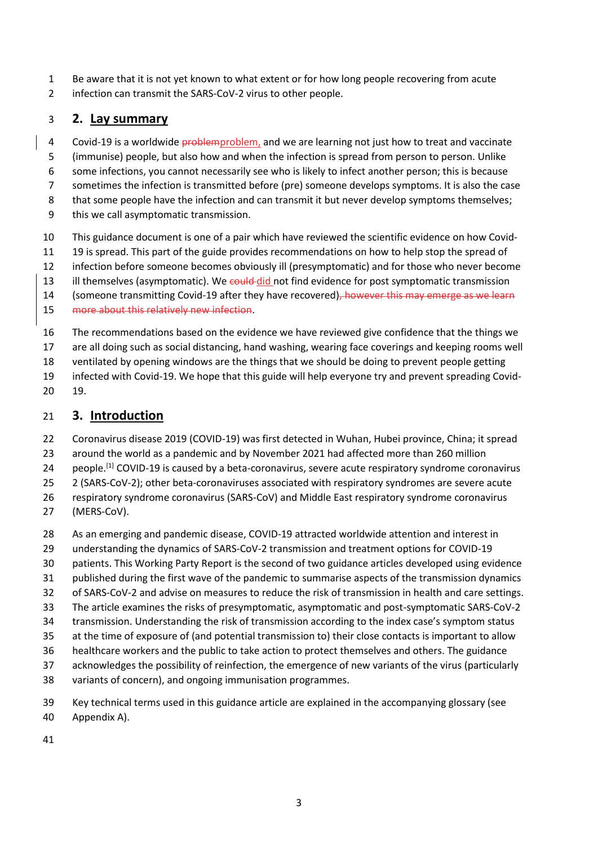- Be aware that it is not yet known to what extent or for how long people recovering from acute
- infection can transmit the SARS-CoV-2 virus to other people.

## **2. Lay summary**

- 4 Covid-19 is a worldwide problemproblem, and we are learning not just how to treat and vaccinate
- (immunise) people, but also how and when the infection is spread from person to person. Unlike
- some infections, you cannot necessarily see who is likely to infect another person; this is because
- sometimes the infection is transmitted before (pre) someone develops symptoms. It is also the case
- 8 that some people have the infection and can transmit it but never develop symptoms themselves;
- this we call asymptomatic transmission.
- This guidance document is one of a pair which have reviewed the scientific evidence on how Covid-
- 19 is spread. This part of the guide provides recommendations on how to help stop the spread of
- infection before someone becomes obviously ill (presymptomatic) and for those who never become
- 13 ill themselves (asymptomatic). We could did not find evidence for post symptomatic transmission
- 14 (someone transmitting Covid-19 after they have recovered), however this may emerge as we learn
- more about this relatively new infection.
- The recommendations based on the evidence we have reviewed give confidence that the things we
- are all doing such as social distancing, hand washing, wearing face coverings and keeping rooms well
- ventilated by opening windows are the things that we should be doing to prevent people getting
- infected with Covid-19. We hope that this guide will help everyone try and prevent spreading Covid-
- 19.

# **3. Introduction**

- Coronavirus disease 2019 (COVID-19) was first detected in Wuhan, Hubei province, China; it spread
- around the world as a pandemic and by November 2021 had affected more than 260 million
- 24 people.<sup>[1]</sup> COVID-19 is caused by a beta-coronavirus, severe acute respiratory syndrome coronavirus
- 2 (SARS-CoV-2); other beta-coronaviruses associated with respiratory syndromes are severe acute
- respiratory syndrome coronavirus (SARS-CoV) and Middle East respiratory syndrome coronavirus
- (MERS-CoV).
- As an emerging and pandemic disease, COVID-19 attracted worldwide attention and interest in
- understanding the dynamics of SARS-CoV-2 transmission and treatment options for COVID-19
- patients. This Working Party Report is the second of two guidance articles developed using evidence
- published during the first wave of the pandemic to summarise aspects of the transmission dynamics
- of SARS-CoV-2 and advise on measures to reduce the risk of transmission in health and care settings.
- The article examines the risks of presymptomatic, asymptomatic and post-symptomatic SARS-CoV-2
- transmission. Understanding the risk of transmission according to the index case's symptom status
- at the time of exposure of (and potential transmission to) their close contacts is important to allow
- healthcare workers and the public to take action to protect themselves and others. The guidance
- acknowledges the possibility of reinfection, the emergence of new variants of the virus (particularly
- variants of concern), and ongoing immunisation programmes.
- Key technical terms used in this guidance article are explained in the accompanying glossary (see Appendix A).
-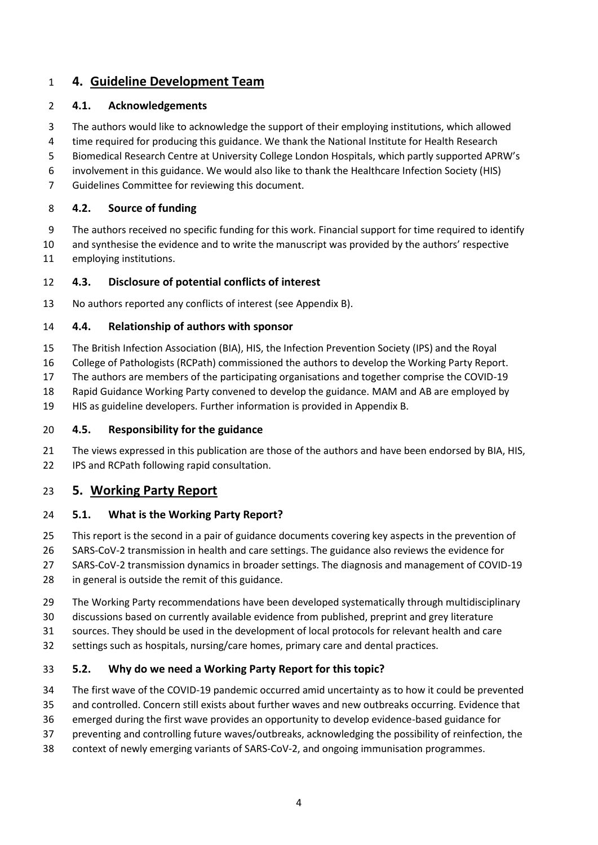## **4. Guideline Development Team**

#### **4.1. Acknowledgements**

- The authors would like to acknowledge the support of their employing institutions, which allowed time required for producing this guidance. We thank the National Institute for Health Research Biomedical Research Centre at University College London Hospitals, which partly supported APRW's
- involvement in this guidance. We would also like to thank the Healthcare Infection Society (HIS)
- Guidelines Committee for reviewing this document.

#### **4.2. Source of funding**

- The authors received no specific funding for this work. Financial support for time required to identify
- and synthesise the evidence and to write the manuscript was provided by the authors' respective employing institutions.

#### **4.3. Disclosure of potential conflicts of interest**

No authors reported any conflicts of interest (see Appendix B).

#### **4.4. Relationship of authors with sponsor**

- The British Infection Association (BIA), HIS, the Infection Prevention Society (IPS) and the Royal
- College of Pathologists (RCPath) commissioned the authors to develop the Working Party Report.
- The authors are members of the participating organisations and together comprise the COVID-19
- Rapid Guidance Working Party convened to develop the guidance. MAM and AB are employed by
- HIS as guideline developers. Further information is provided in Appendix B.

#### **4.5. Responsibility for the guidance**

 The views expressed in this publication are those of the authors and have been endorsed by BIA, HIS, IPS and RCPath following rapid consultation.

#### **5. Working Party Report**

#### **5.1. What is the Working Party Report?**

- This report is the second in a pair of guidance documents covering key aspects in the prevention of
- SARS-CoV-2 transmission in health and care settings. The guidance also reviews the evidence for
- SARS-CoV-2 transmission dynamics in broader settings. The diagnosis and management of COVID-19
- in general is outside the remit of this guidance.
- The Working Party recommendations have been developed systematically through multidisciplinary
- discussions based on currently available evidence from published, preprint and grey literature
- sources. They should be used in the development of local protocols for relevant health and care
- settings such as hospitals, nursing/care homes, primary care and dental practices.

#### **5.2. Why do we need a Working Party Report for this topic?**

- The first wave of the COVID-19 pandemic occurred amid uncertainty as to how it could be prevented
- and controlled. Concern still exists about further waves and new outbreaks occurring. Evidence that
- emerged during the first wave provides an opportunity to develop evidence-based guidance for
- preventing and controlling future waves/outbreaks, acknowledging the possibility of reinfection, the
- context of newly emerging variants of SARS-CoV-2, and ongoing immunisation programmes.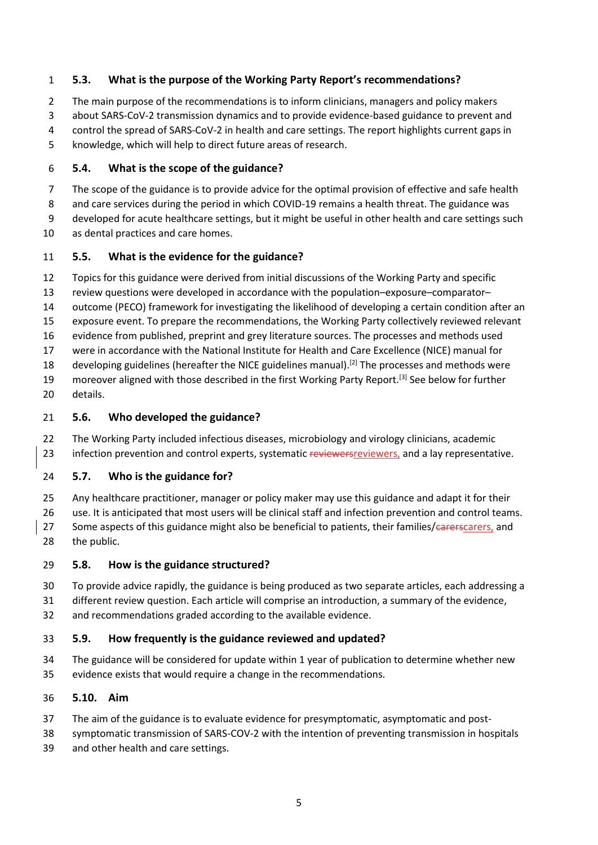#### **5.3. What is the purpose of the Working Party Report's recommendations?**

The main purpose of the recommendations is to inform clinicians, managers and policy makers

- about SARS-CoV-2 transmission dynamics and to provide evidence-based guidance to prevent and
- control the spread of SARS-CoV-2 in health and care settings. The report highlights current gaps in
- knowledge, which will help to direct future areas of research.

### **5.4. What is the scope of the guidance?**

- The scope of the guidance is to provide advice for the optimal provision of effective and safe health
- and care services during the period in which COVID-19 remains a health threat. The guidance was
- developed for acute healthcare settings, but it might be useful in other health and care settings such
- as dental practices and care homes.

### **5.5. What is the evidence for the guidance?**

- Topics for this guidance were derived from initial discussions of the Working Party and specific
- review questions were developed in accordance with the population–exposure–comparator–
- outcome (PECO) framework for investigating the likelihood of developing a certain condition after an
- exposure event. To prepare the recommendations, the Working Party collectively reviewed relevant
- evidence from published, preprint and grey literature sources. The processes and methods used
- were in accordance with the National Institute for Health and Care Excellence (NICE) manual for
- 18 developing guidelines (hereafter the NICE guidelines manual).<sup>[2]</sup> The processes and methods were
- 19 moreover aligned with those described in the first Working Party Report.<sup>[3]</sup> See below for further
- details.

## **5.6. Who developed the guidance?**

 The Working Party included infectious diseases, microbiology and virology clinicians, academic 23 infection prevention and control experts, systematic reviewers reviewers, and a lay representative.

### **5.7. Who is the guidance for?**

 Any healthcare practitioner, manager or policy maker may use this guidance and adapt it for their use. It is anticipated that most users will be clinical staff and infection prevention and control teams. 27 Some aspects of this guidance might also be beneficial to patients, their families/carerscarers, and the public.

### **5.8. How is the guidance structured?**

- To provide advice rapidly, the guidance is being produced as two separate articles, each addressing a
- different review question. Each article will comprise an introduction, a summary of the evidence,
- and recommendations graded according to the available evidence.

### **5.9. How frequently is the guidance reviewed and updated?**

 The guidance will be considered for update within 1 year of publication to determine whether new evidence exists that would require a change in the recommendations.

### **5.10. Aim**

- The aim of the guidance is to evaluate evidence for presymptomatic, asymptomatic and post-
- symptomatic transmission of SARS-COV-2 with the intention of preventing transmission in hospitals
- and other health and care settings.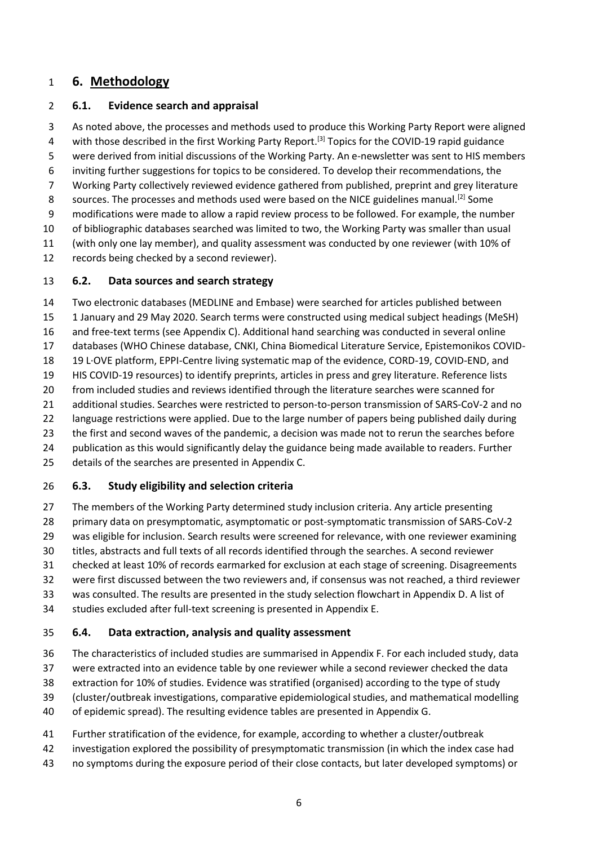### **6. Methodology**

#### **6.1. Evidence search and appraisal**

 As noted above, the processes and methods used to produce this Working Party Report were aligned 4 with those described in the first Working Party Report.<sup>[3]</sup> Topics for the COVID-19 rapid guidance were derived from initial discussions of the Working Party. An e-newsletter was sent to HIS members inviting further suggestions for topics to be considered. To develop their recommendations, the Working Party collectively reviewed evidence gathered from published, preprint and grey literature sources. The processes and methods used were based on the NICE guidelines manual.<sup>[2]</sup> Some modifications were made to allow a rapid review process to be followed. For example, the number of bibliographic databases searched was limited to two, the Working Party was smaller than usual (with only one lay member), and quality assessment was conducted by one reviewer (with 10% of records being checked by a second reviewer). **6.2. Data sources and search strategy**

 Two electronic databases (MEDLINE and Embase) were searched for articles published between 1 January and 29 May 2020. Search terms were constructed using medical subject headings (MeSH) and free-text terms (see Appendix C). Additional hand searching was conducted in several online databases (WHO Chinese database, CNKI, China Biomedical Literature Service, Epistemonikos COVID- 19 L·OVE platform, EPPI-Centre living systematic map of the evidence, CORD-19, COVID-END, and HIS COVID-19 resources) to identify preprints, articles in press and grey literature. Reference lists from included studies and reviews identified through the literature searches were scanned for additional studies. Searches were restricted to person-to-person transmission of SARS-CoV-2 and no language restrictions were applied. Due to the large number of papers being published daily during the first and second waves of the pandemic, a decision was made not to rerun the searches before publication as this would significantly delay the guidance being made available to readers. Further details of the searches are presented in Appendix C.

### **6.3. Study eligibility and selection criteria**

 The members of the Working Party determined study inclusion criteria. Any article presenting primary data on presymptomatic, asymptomatic or post-symptomatic transmission of SARS-CoV-2 was eligible for inclusion. Search results were screened for relevance, with one reviewer examining titles, abstracts and full texts of all records identified through the searches. A second reviewer checked at least 10% of records earmarked for exclusion at each stage of screening. Disagreements were first discussed between the two reviewers and, if consensus was not reached, a third reviewer was consulted. The results are presented in the study selection flowchart in Appendix D. A list of studies excluded after full-text screening is presented in Appendix E.

#### **6.4. Data extraction, analysis and quality assessment**

 The characteristics of included studies are summarised in Appendix F. For each included study, data were extracted into an evidence table by one reviewer while a second reviewer checked the data extraction for 10% of studies. Evidence was stratified (organised) according to the type of study (cluster/outbreak investigations, comparative epidemiological studies, and mathematical modelling

- of epidemic spread). The resulting evidence tables are presented in Appendix G.
- Further stratification of the evidence, for example, according to whether a cluster/outbreak
- investigation explored the possibility of presymptomatic transmission (in which the index case had
- no symptoms during the exposure period of their close contacts, but later developed symptoms) or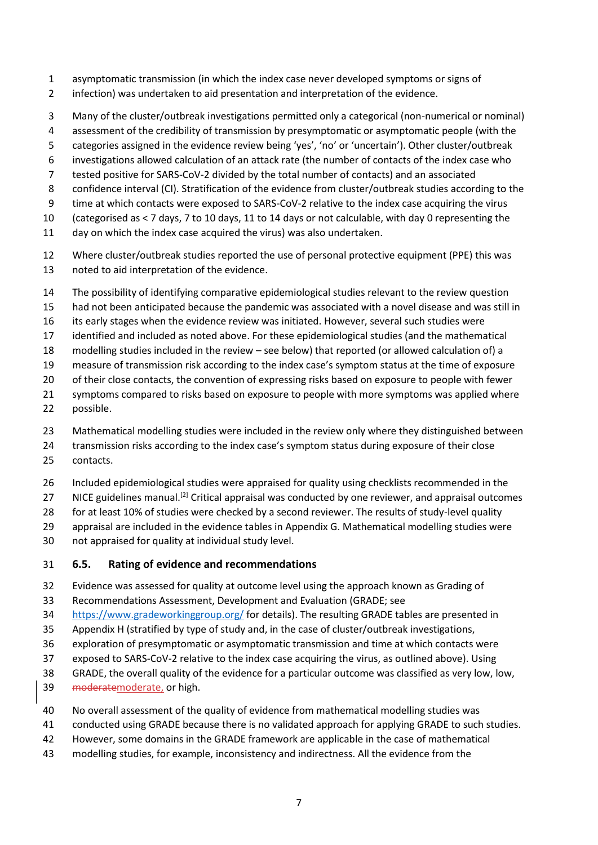- asymptomatic transmission (in which the index case never developed symptoms or signs of
- infection) was undertaken to aid presentation and interpretation of the evidence.
- Many of the cluster/outbreak investigations permitted only a categorical (non-numerical or nominal)
- assessment of the credibility of transmission by presymptomatic or asymptomatic people (with the
- categories assigned in the evidence review being 'yes', 'no' or 'uncertain'). Other cluster/outbreak
- investigations allowed calculation of an attack rate (the number of contacts of the index case who
- tested positive for SARS-CoV-2 divided by the total number of contacts) and an associated
- 8 confidence interval (CI). Stratification of the evidence from cluster/outbreak studies according to the
- time at which contacts were exposed to SARS-CoV-2 relative to the index case acquiring the virus
- (categorised as < 7 days, 7 to 10 days, 11 to 14 days or not calculable, with day 0 representing the
- day on which the index case acquired the virus) was also undertaken.
- Where cluster/outbreak studies reported the use of personal protective equipment (PPE) this was noted to aid interpretation of the evidence.
- The possibility of identifying comparative epidemiological studies relevant to the review question
- had not been anticipated because the pandemic was associated with a novel disease and was still in
- its early stages when the evidence review was initiated. However, several such studies were
- identified and included as noted above. For these epidemiological studies (and the mathematical
- modelling studies included in the review see below) that reported (or allowed calculation of) a
- measure of transmission risk according to the index case's symptom status at the time of exposure
- of their close contacts, the convention of expressing risks based on exposure to people with fewer
- 21 symptoms compared to risks based on exposure to people with more symptoms was applied where
- possible.
- Mathematical modelling studies were included in the review only where they distinguished between
- transmission risks according to the index case's symptom status during exposure of their close
- contacts.
- Included epidemiological studies were appraised for quality using checklists recommended in the
- 27 NICE guidelines manual.<sup>[2]</sup> Critical appraisal was conducted by one reviewer, and appraisal outcomes
- for at least 10% of studies were checked by a second reviewer. The results of study-level quality
- appraisal are included in the evidence tables in Appendix G. Mathematical modelling studies were
- not appraised for quality at individual study level.
- **6.5. Rating of evidence and recommendations**
- Evidence was assessed for quality at outcome level using the approach known as Grading of
- Recommendations Assessment, Development and Evaluation (GRADE; see
- <https://www.gradeworkinggroup.org/> for details). The resulting GRADE tables are presented in
- Appendix H (stratified by type of study and, in the case of cluster/outbreak investigations,
- exploration of presymptomatic or asymptomatic transmission and time at which contacts were
- exposed to SARS-CoV-2 relative to the index case acquiring the virus, as outlined above). Using
- GRADE, the overall quality of the evidence for a particular outcome was classified as very low, low,
- moderatemoderate, or high.
- No overall assessment of the quality of evidence from mathematical modelling studies was
- conducted using GRADE because there is no validated approach for applying GRADE to such studies.
- However, some domains in the GRADE framework are applicable in the case of mathematical
- modelling studies, for example, inconsistency and indirectness. All the evidence from the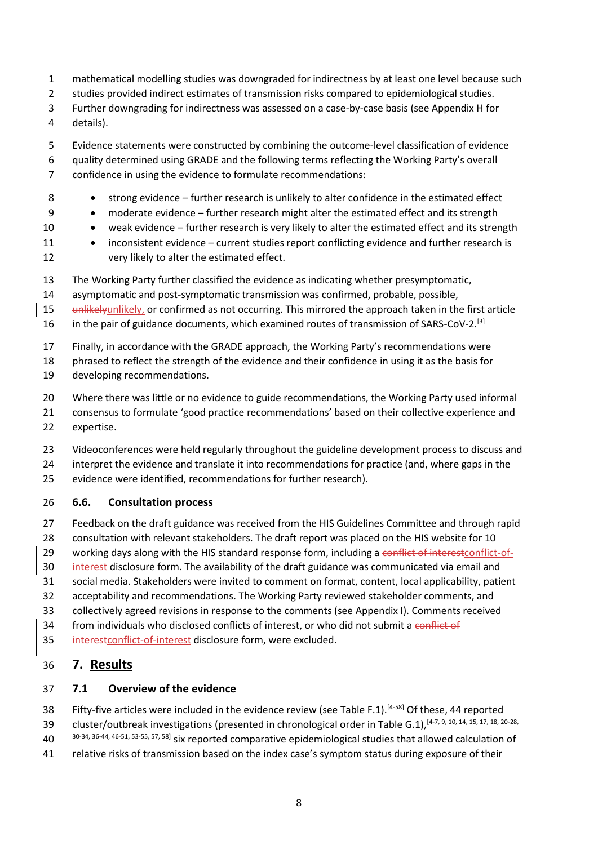- mathematical modelling studies was downgraded for indirectness by at least one level because such
- studies provided indirect estimates of transmission risks compared to epidemiological studies.
- Further downgrading for indirectness was assessed on a case-by-case basis (see Appendix H for
- details).
- Evidence statements were constructed by combining the outcome-level classification of evidence
- quality determined using GRADE and the following terms reflecting the Working Party's overall
- confidence in using the evidence to formulate recommendations:
- 8 strong evidence further research is unlikely to alter confidence in the estimated effect
- moderate evidence further research might alter the estimated effect and its strength
- 10 weak evidence further research is very likely to alter the estimated effect and its strength
- 11 inconsistent evidence current studies report conflicting evidence and further research is very likely to alter the estimated effect.
- The Working Party further classified the evidence as indicating whether presymptomatic,
- asymptomatic and post-symptomatic transmission was confirmed, probable, possible,
- 15 unlikelyunlikely, or confirmed as not occurring. This mirrored the approach taken in the first article
- 16 in the pair of guidance documents, which examined routes of transmission of SARS-CoV-2.<sup>[3]</sup>
- Finally, in accordance with the GRADE approach, the Working Party's recommendations were
- phrased to reflect the strength of the evidence and their confidence in using it as the basis for
- developing recommendations.
- Where there was little or no evidence to guide recommendations, the Working Party used informal
- consensus to formulate 'good practice recommendations' based on their collective experience and expertise.
- Videoconferences were held regularly throughout the guideline development process to discuss and
- interpret the evidence and translate it into recommendations for practice (and, where gaps in the
- evidence were identified, recommendations for further research).

#### **6.6. Consultation process**

- Feedback on the draft guidance was received from the HIS Guidelines Committee and through rapid
- consultation with relevant stakeholders. The draft report was placed on the HIS website for 10
- 29 working days along with the HIS standard response form, including a conflict of interest conflict-of-
- interest disclosure form. The availability of the draft guidance was communicated via email and
- social media. Stakeholders were invited to comment on format, content, local applicability, patient
- acceptability and recommendations. The Working Party reviewed stakeholder comments, and
- collectively agreed revisions in response to the comments (see Appendix I). Comments received
- 34 from individuals who disclosed conflicts of interest, or who did not submit a conflict of
- 35 interestconflict-of-interest disclosure form, were excluded.

### **7. Results**

#### **7.1 Overview of the evidence**

- 38 Fifty-five articles were included in the evidence review (see Table F.1).<sup>[4-58]</sup> Of these, 44 reported 39 cluster/outbreak investigations (presented in chronological order in Table G.1), [4-7, 9, 10, 14, 15, 17, 18, 20-28,
- 40 30-34, 36-44, 46-51, 53-55, 57, 58] six reported comparative epidemiological studies that allowed calculation of
- relative risks of transmission based on the index case's symptom status during exposure of their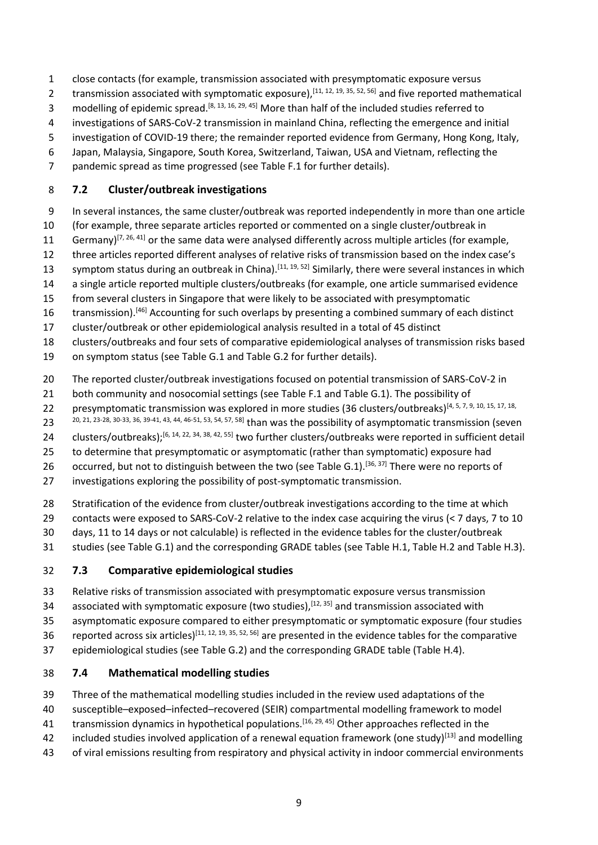- close contacts (for example, transmission associated with presymptomatic exposure versus
- 2 transmission associated with symptomatic exposure),  $[11, 12, 19, 35, 52, 56]$  and five reported mathematical
- 3 modelling of epidemic spread.<sup>[8, 13, 16, 29, 45]</sup> More than half of the included studies referred to
- investigations of SARS-CoV-2 transmission in mainland China, reflecting the emergence and initial
- investigation of COVID-19 there; the remainder reported evidence from Germany, Hong Kong, Italy,
- Japan, Malaysia, Singapore, South Korea, Switzerland, Taiwan, USA and Vietnam, reflecting the
- pandemic spread as time progressed (see Table F.1 for further details).

### **7.2 Cluster/outbreak investigations**

- In several instances, the same cluster/outbreak was reported independently in more than one article
- (for example, three separate articles reported or commented on a single cluster/outbreak in
- 11 Germany)<sup>[7, 26, 41]</sup> or the same data were analysed differently across multiple articles (for example,
- three articles reported different analyses of relative risks of transmission based on the index case's
- 13 symptom status during an outbreak in China).<sup>[11, 19, 52]</sup> Similarly, there were several instances in which
- a single article reported multiple clusters/outbreaks (for example, one article summarised evidence
- from several clusters in Singapore that were likely to be associated with presymptomatic
- 16 transmission).<sup>[46]</sup> Accounting for such overlaps by presenting a combined summary of each distinct
- cluster/outbreak or other epidemiological analysis resulted in a total of 45 distinct
- clusters/outbreaks and four sets of comparative epidemiological analyses of transmission risks based
- on symptom status (see Table G.1 and Table G.2 for further details).
- The reported cluster/outbreak investigations focused on potential transmission of SARS-CoV-2 in
- both community and nosocomial settings (see Table F.1 and Table G.1). The possibility of
- 22 presymptomatic transmission was explored in more studies (36 clusters/outbreaks)<sup>[4, 5, 7, 9, 10, 15, 17, 18,</sup>
- 20, 21, 23-28, 30-33, 36, 39-41, 43, 44, 46-51, 53, 54, 57, 58] than was the possibility of asymptomatic transmission (seven
- 24 clusters/outbreaks);<sup>[6, 14, 22, 34, 38, 42, 55]</sup> two further clusters/outbreaks were reported in sufficient detail
- to determine that presymptomatic or asymptomatic (rather than symptomatic) exposure had
- 26 occurred, but not to distinguish between the two (see Table G.1).<sup>[36, 37]</sup> There were no reports of
- investigations exploring the possibility of post-symptomatic transmission.
- Stratification of the evidence from cluster/outbreak investigations according to the time at which
- contacts were exposed to SARS-CoV-2 relative to the index case acquiring the virus (< 7 days, 7 to 10
- days, 11 to 14 days or not calculable) is reflected in the evidence tables for the cluster/outbreak
- studies (see Table G.1) and the corresponding GRADE tables (see Table H.1, Table H.2 and Table H.3).

### **7.3 Comparative epidemiological studies**

- Relative risks of transmission associated with presymptomatic exposure versus transmission
- 34 associated with symptomatic exposure (two studies),  $[12, 35]$  and transmission associated with
- asymptomatic exposure compared to either presymptomatic or symptomatic exposure (four studies
- 36 reported across six articles)<sup>[11, 12, 19, 35, 52, 56]</sup> are presented in the evidence tables for the comparative
- epidemiological studies (see Table G.2) and the corresponding GRADE table (Table H.4).

### **7.4 Mathematical modelling studies**

- Three of the mathematical modelling studies included in the review used adaptations of the
- susceptible–exposed–infected–recovered (SEIR) compartmental modelling framework to model
- 41 transmission dynamics in hypothetical populations.<sup>[16, 29, 45]</sup> Other approaches reflected in the
- 42 included studies involved application of a renewal equation framework (one study)<sup>[13]</sup> and modelling
- of viral emissions resulting from respiratory and physical activity in indoor commercial environments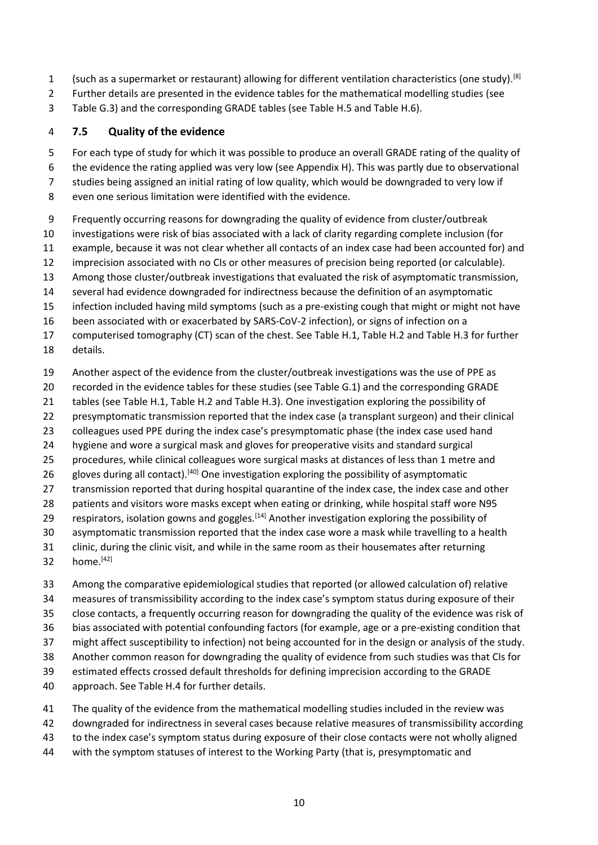- (such as a supermarket or restaurant) allowing for different ventilation characteristics (one study).<sup>[8]</sup>
- Further details are presented in the evidence tables for the mathematical modelling studies (see
- Table G.3) and the corresponding GRADE tables (see Table H.5 and Table H.6).

## **7.5 Quality of the evidence**

For each type of study for which it was possible to produce an overall GRADE rating of the quality of

- the evidence the rating applied was very low (see Appendix H). This was partly due to observational
- studies being assigned an initial rating of low quality, which would be downgraded to very low if
- even one serious limitation were identified with the evidence.
- Frequently occurring reasons for downgrading the quality of evidence from cluster/outbreak
- investigations were risk of bias associated with a lack of clarity regarding complete inclusion (for
- example, because it was not clear whether all contacts of an index case had been accounted for) and
- imprecision associated with no CIs or other measures of precision being reported (or calculable).
- Among those cluster/outbreak investigations that evaluated the risk of asymptomatic transmission,
- several had evidence downgraded for indirectness because the definition of an asymptomatic
- infection included having mild symptoms (such as a pre-existing cough that might or might not have
- been associated with or exacerbated by SARS-CoV-2 infection), or signs of infection on a
- computerised tomography (CT) scan of the chest. See Table H.1, Table H.2 and Table H.3 for further details.
- Another aspect of the evidence from the cluster/outbreak investigations was the use of PPE as
- recorded in the evidence tables for these studies (see Table G.1) and the corresponding GRADE
- tables (see Table H.1, Table H.2 and Table H.3). One investigation exploring the possibility of
- presymptomatic transmission reported that the index case (a transplant surgeon) and their clinical
- colleagues used PPE during the index case's presymptomatic phase (the index case used hand
- hygiene and wore a surgical mask and gloves for preoperative visits and standard surgical
- procedures, while clinical colleagues wore surgical masks at distances of less than 1 metre and
- 26 gloves during all contact).<sup>[40]</sup> One investigation exploring the possibility of asymptomatic
- transmission reported that during hospital quarantine of the index case, the index case and other
- patients and visitors wore masks except when eating or drinking, while hospital staff wore N95
- 29 respirators, isolation gowns and goggles.<sup>[14]</sup> Another investigation exploring the possibility of
- asymptomatic transmission reported that the index case wore a mask while travelling to a health
- clinic, during the clinic visit, and while in the same room as their housemates after returning 32  $home.<sup>[42]</sup>$
- Among the comparative epidemiological studies that reported (or allowed calculation of) relative measures of transmissibility according to the index case's symptom status during exposure of their
- close contacts, a frequently occurring reason for downgrading the quality of the evidence was risk of
- bias associated with potential confounding factors (for example, age or a pre-existing condition that
- might affect susceptibility to infection) not being accounted for in the design or analysis of the study.
- Another common reason for downgrading the quality of evidence from such studies was that CIs for
- estimated effects crossed default thresholds for defining imprecision according to the GRADE
- approach. See Table H.4 for further details.
- The quality of the evidence from the mathematical modelling studies included in the review was
- downgraded for indirectness in several cases because relative measures of transmissibility according
- to the index case's symptom status during exposure of their close contacts were not wholly aligned
- with the symptom statuses of interest to the Working Party (that is, presymptomatic and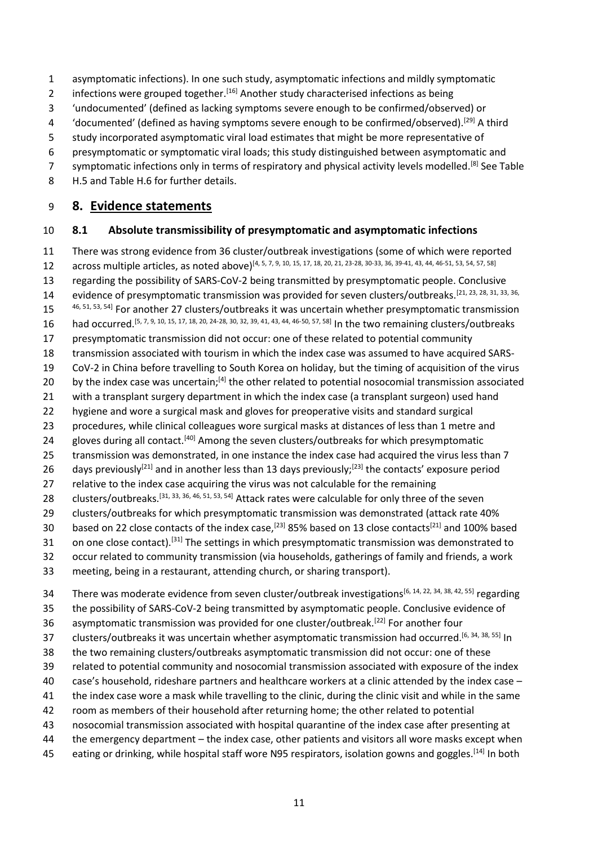- asymptomatic infections). In one such study, asymptomatic infections and mildly symptomatic
- 2 infections were grouped together.<sup>[16]</sup> Another study characterised infections as being
- 'undocumented' (defined as lacking symptoms severe enough to be confirmed/observed) or
- 'documented' (defined as having symptoms severe enough to be confirmed/observed).[29] A third
- study incorporated asymptomatic viral load estimates that might be more representative of
- presymptomatic or symptomatic viral loads; this study distinguished between asymptomatic and
- 57 symptomatic infections only in terms of respiratory and physical activity levels modelled.<sup>[8]</sup> See Table H.5 and Table H.6 for further details.
- **8. Evidence statements**

#### **8.1 Absolute transmissibility of presymptomatic and asymptomatic infections**

- There was strong evidence from 36 cluster/outbreak investigations (some of which were reported
- across multiple articles, as noted above)<sup>[4, 5, 7, 9, 10, 15, 17, 18, 20, 21, 23-28, 30-33, 36, 39-41, 43, 44, 46-51, 53, 54, 57, 58]</sup>
- regarding the possibility of SARS-CoV-2 being transmitted by presymptomatic people. Conclusive
- 14 evidence of presymptomatic transmission was provided for seven clusters/outbreaks.<sup>[21, 23, 28, 31, 33, 36,</sup>
- 15 <sup>46, 51, 53, 54</sup> For another 27 clusters/outbreaks it was uncertain whether presymptomatic transmission
- 16 had occurred.<sup>[5, 7, 9, 10, 15, 17, 18, 20, 24-28, 30, 32, 39, 41, 43, 44, 46-50, 57, 58] In the two remaining clusters/outbreaks</sup>
- presymptomatic transmission did not occur: one of these related to potential community
- transmission associated with tourism in which the index case was assumed to have acquired SARS-
- CoV-2 in China before travelling to South Korea on holiday, but the timing of acquisition of the virus
- 20 by the index case was uncertain;<sup>[4]</sup> the other related to potential nosocomial transmission associated
- with a transplant surgery department in which the index case (a transplant surgeon) used hand
- hygiene and wore a surgical mask and gloves for preoperative visits and standard surgical
- procedures, while clinical colleagues wore surgical masks at distances of less than 1 metre and
- 24 gloves during all contact.<sup>[40]</sup> Among the seven clusters/outbreaks for which presymptomatic
- 25 transmission was demonstrated, in one instance the index case had acquired the virus less than 7
- 26 days previously<sup>[21]</sup> and in another less than 13 days previously;<sup>[23]</sup> the contacts' exposure period
- relative to the index case acquiring the virus was not calculable for the remaining
- 28 clusters/outbreaks.<sup>[31, 33, 36, 46, 51, 53, 54]</sup> Attack rates were calculable for only three of the seven
- clusters/outbreaks for which presymptomatic transmission was demonstrated (attack rate 40%
- 30 based on 22 close contacts of the index case,<sup>[23]</sup> 85% based on 13 close contacts<sup>[21]</sup> and 100% based
- 31 on one close contact).<sup>[31]</sup> The settings in which presymptomatic transmission was demonstrated to
- occur related to community transmission (via households, gatherings of family and friends, a work
- meeting, being in a restaurant, attending church, or sharing transport).
- 34 There was moderate evidence from seven cluster/outbreak investigations<sup>[6, 14, 22, 34, 38, 42, 55]</sup> regarding
- the possibility of SARS-CoV-2 being transmitted by asymptomatic people. Conclusive evidence of
- 36 asymptomatic transmission was provided for one cluster/outbreak.<sup>[22]</sup> For another four
- 37 clusters/outbreaks it was uncertain whether asymptomatic transmission had occurred.<sup>[6, 34, 38, 55]</sup> In
- the two remaining clusters/outbreaks asymptomatic transmission did not occur: one of these
- related to potential community and nosocomial transmission associated with exposure of the index
- case's household, rideshare partners and healthcare workers at a clinic attended by the index case –
- 41 the index case wore a mask while travelling to the clinic, during the clinic visit and while in the same
- room as members of their household after returning home; the other related to potential
- nosocomial transmission associated with hospital quarantine of the index case after presenting at
- the emergency department the index case, other patients and visitors all wore masks except when
- 45 eating or drinking, while hospital staff wore N95 respirators, isolation gowns and goggles.<sup>[14]</sup> In both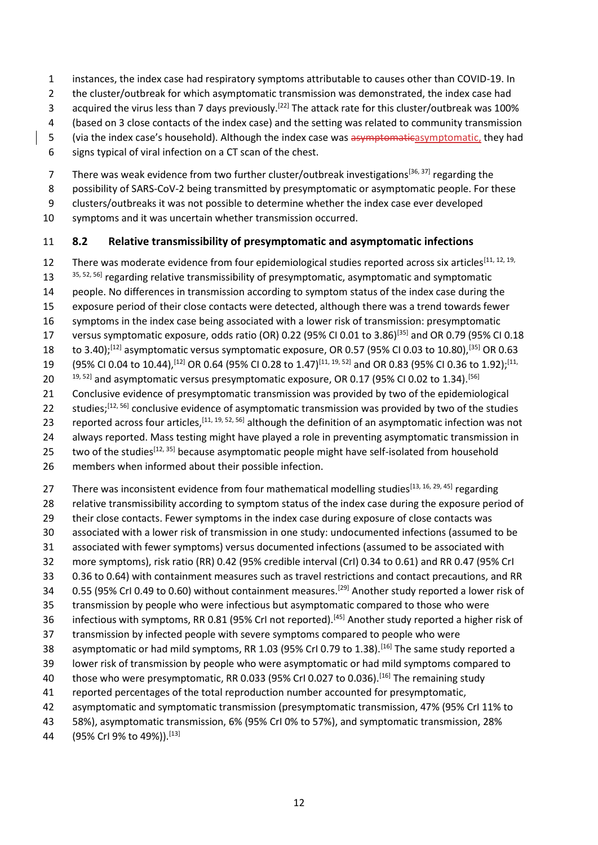- 1 instances, the index case had respiratory symptoms attributable to causes other than COVID-19. In
- 2 the cluster/outbreak for which asymptomatic transmission was demonstrated, the index case had
- acquired the virus less than 7 days previously.<sup>[22]</sup> The attack rate for this cluster/outbreak was 100%
- 4 (based on 3 close contacts of the index case) and the setting was related to community transmission
- 5 (via the index case's household). Although the index case was asymptomaticasymptomatic, they had
- 6 signs typical of viral infection on a CT scan of the chest.
- 7 There was weak evidence from two further cluster/outbreak investigations<sup>[36, 37]</sup> regarding the
- 8 possibility of SARS-CoV-2 being transmitted by presymptomatic or asymptomatic people. For these
- 9 clusters/outbreaks it was not possible to determine whether the index case ever developed
- 10 symptoms and it was uncertain whether transmission occurred.

# 11 **8.2 Relative transmissibility of presymptomatic and asymptomatic infections**

12 There was moderate evidence from four epidemiological studies reported across six articles<sup>[11, 12, 19,</sup> 35, 52, 56] regarding relative transmissibility of presymptomatic, asymptomatic and symptomatic 14 people. No differences in transmission according to symptom status of the index case during the 15 exposure period of their close contacts were detected, although there was a trend towards fewer 16 symptoms in the index case being associated with a lower risk of transmission: presymptomatic 17 versus symptomatic exposure, odds ratio (OR) 0.22 (95% CI 0.01 to 3.86)<sup>[35]</sup> and OR 0.79 (95% CI 0.18 18 to 3.40);<sup>[12]</sup> asymptomatic versus symptomatic exposure, OR 0.57 (95% CI 0.03 to 10.80),<sup>[35]</sup> OR 0.63 19 (95% CI 0.04 to 10.44), <sup>[12]</sup> OR 0.64 (95% CI 0.28 to 1.47)<sup>[11, 19, 52]</sup> and OR 0.83 (95% CI 0.36 to 1.92);<sup>[11,</sup> 20  $^{19, 52}$  and asymptomatic versus presymptomatic exposure, OR 0.17 (95% CI 0.02 to 1.34).<sup>[56]</sup> 21 Conclusive evidence of presymptomatic transmission was provided by two of the epidemiological 22 studies;  $[12, 56]$  conclusive evidence of asymptomatic transmission was provided by two of the studies 23 reported across four articles,  $[11, 19, 52, 56]$  although the definition of an asymptomatic infection was not 24 always reported. Mass testing might have played a role in preventing asymptomatic transmission in 25 two of the studies  $[12, 35]$  because asymptomatic people might have self-isolated from household 26 members when informed about their possible infection.

- 27 There was inconsistent evidence from four mathematical modelling studies<sup>[13, 16, 29, 45]</sup> regarding
- 28 relative transmissibility according to symptom status of the index case during the exposure period of
- 29 their close contacts. Fewer symptoms in the index case during exposure of close contacts was
- 30 associated with a lower risk of transmission in one study: undocumented infections (assumed to be
- 31 associated with fewer symptoms) versus documented infections (assumed to be associated with
- 32 more symptoms), risk ratio (RR) 0.42 (95% credible interval (CrI) 0.34 to 0.61) and RR 0.47 (95% CrI
- 33 0.36 to 0.64) with containment measures such as travel restrictions and contact precautions, and RR
- 34 0.55 (95% CrI 0.49 to 0.60) without containment measures.<sup>[29]</sup> Another study reported a lower risk of 35 transmission by people who were infectious but asymptomatic compared to those who were
- 36 infectious with symptoms, RR 0.81 (95% CrI not reported).<sup>[45]</sup> Another study reported a higher risk of
- 37 transmission by infected people with severe symptoms compared to people who were
- 38 asymptomatic or had mild symptoms, RR 1.03 (95% CrI 0.79 to 1.38).<sup>[16]</sup> The same study reported a
- 39 lower risk of transmission by people who were asymptomatic or had mild symptoms compared to
- 40 those who were presymptomatic, RR 0.033 (95% CrI 0.027 to 0.036).<sup>[16]</sup> The remaining study
- 41 reported percentages of the total reproduction number accounted for presymptomatic,
- 42 asymptomatic and symptomatic transmission (presymptomatic transmission, 47% (95% CrI 11% to
- 43 58%), asymptomatic transmission, 6% (95% CrI 0% to 57%), and symptomatic transmission, 28%
- 44 (95% Crl 9% to 49%)). [13]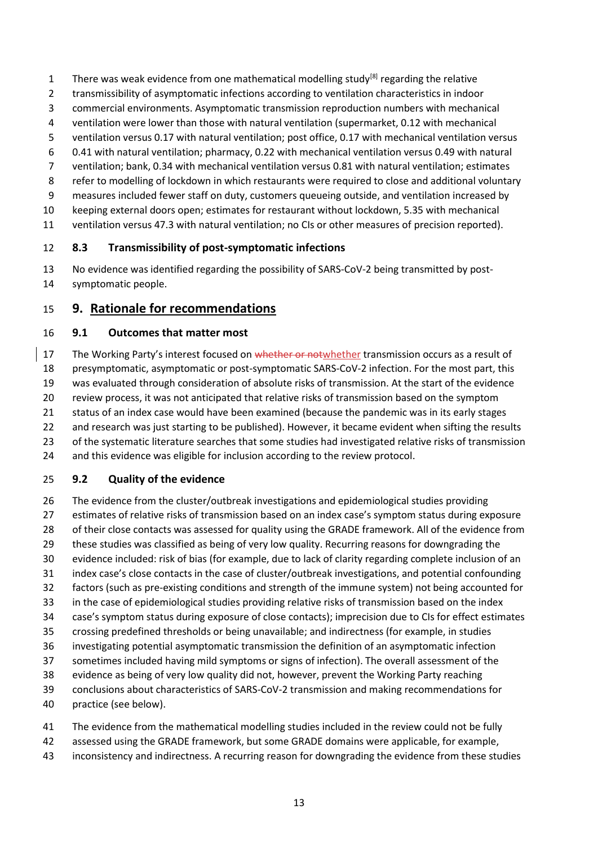- There was weak evidence from one mathematical modelling study<sup>[8]</sup> regarding the relative
- transmissibility of asymptomatic infections according to ventilation characteristics in indoor
- commercial environments. Asymptomatic transmission reproduction numbers with mechanical
- ventilation were lower than those with natural ventilation (supermarket, 0.12 with mechanical
- ventilation versus 0.17 with natural ventilation; post office, 0.17 with mechanical ventilation versus
- 0.41 with natural ventilation; pharmacy, 0.22 with mechanical ventilation versus 0.49 with natural
- ventilation; bank, 0.34 with mechanical ventilation versus 0.81 with natural ventilation; estimates
- refer to modelling of lockdown in which restaurants were required to close and additional voluntary
- measures included fewer staff on duty, customers queueing outside, and ventilation increased by
- keeping external doors open; estimates for restaurant without lockdown, 5.35 with mechanical
- ventilation versus 47.3 with natural ventilation; no CIs or other measures of precision reported).

### **8.3 Transmissibility of post-symptomatic infections**

 No evidence was identified regarding the possibility of SARS-CoV-2 being transmitted by post-symptomatic people.

# **9. Rationale for recommendations**

### **9.1 Outcomes that matter most**

17 The Working Party's interest focused on whether or notwhether transmission occurs as a result of presymptomatic, asymptomatic or post-symptomatic SARS-CoV-2 infection. For the most part, this was evaluated through consideration of absolute risks of transmission. At the start of the evidence review process, it was not anticipated that relative risks of transmission based on the symptom status of an index case would have been examined (because the pandemic was in its early stages 22 and research was just starting to be published). However, it became evident when sifting the results of the systematic literature searches that some studies had investigated relative risks of transmission and this evidence was eligible for inclusion according to the review protocol.

### **9.2 Quality of the evidence**

- The evidence from the cluster/outbreak investigations and epidemiological studies providing estimates of relative risks of transmission based on an index case's symptom status during exposure of their close contacts was assessed for quality using the GRADE framework. All of the evidence from these studies was classified as being of very low quality. Recurring reasons for downgrading the evidence included: risk of bias (for example, due to lack of clarity regarding complete inclusion of an index case's close contacts in the case of cluster/outbreak investigations, and potential confounding factors (such as pre-existing conditions and strength of the immune system) not being accounted for in the case of epidemiological studies providing relative risks of transmission based on the index case's symptom status during exposure of close contacts); imprecision due to CIs for effect estimates crossing predefined thresholds or being unavailable; and indirectness (for example, in studies investigating potential asymptomatic transmission the definition of an asymptomatic infection sometimes included having mild symptoms or signs of infection). The overall assessment of the evidence as being of very low quality did not, however, prevent the Working Party reaching conclusions about characteristics of SARS-CoV-2 transmission and making recommendations for practice (see below).
- The evidence from the mathematical modelling studies included in the review could not be fully
- assessed using the GRADE framework, but some GRADE domains were applicable, for example,
- inconsistency and indirectness. A recurring reason for downgrading the evidence from these studies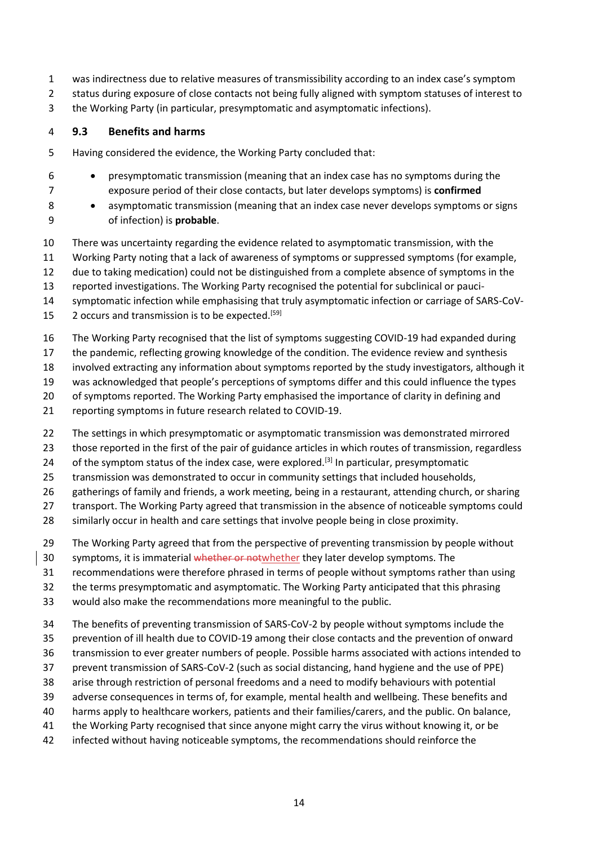- was indirectness due to relative measures of transmissibility according to an index case's symptom
- status during exposure of close contacts not being fully aligned with symptom statuses of interest to
- the Working Party (in particular, presymptomatic and asymptomatic infections).

# **9.3 Benefits and harms**

- Having considered the evidence, the Working Party concluded that:
- presymptomatic transmission (meaning that an index case has no symptoms during the exposure period of their close contacts, but later develops symptoms) is **confirmed**
- 8 asymptomatic transmission (meaning that an index case never develops symptoms or signs of infection) is **probable**.
- There was uncertainty regarding the evidence related to asymptomatic transmission, with the
- Working Party noting that a lack of awareness of symptoms or suppressed symptoms (for example,
- due to taking medication) could not be distinguished from a complete absence of symptoms in the
- reported investigations. The Working Party recognised the potential for subclinical or pauci-
- symptomatic infection while emphasising that truly asymptomatic infection or carriage of SARS-CoV-
- 15 2 occurs and transmission is to be expected.<sup>[59]</sup>
- The Working Party recognised that the list of symptoms suggesting COVID-19 had expanded during
- the pandemic, reflecting growing knowledge of the condition. The evidence review and synthesis
- involved extracting any information about symptoms reported by the study investigators, although it
- was acknowledged that people's perceptions of symptoms differ and this could influence the types
- of symptoms reported. The Working Party emphasised the importance of clarity in defining and
- reporting symptoms in future research related to COVID-19.
- The settings in which presymptomatic or asymptomatic transmission was demonstrated mirrored
- those reported in the first of the pair of guidance articles in which routes of transmission, regardless
- 24 of the symptom status of the index case, were explored.<sup>[3]</sup> In particular, presymptomatic
- transmission was demonstrated to occur in community settings that included households,
- gatherings of family and friends, a work meeting, being in a restaurant, attending church, or sharing
- transport. The Working Party agreed that transmission in the absence of noticeable symptoms could
- similarly occur in health and care settings that involve people being in close proximity.
- The Working Party agreed that from the perspective of preventing transmission by people without
- 30 symptoms, it is immaterial whether or notwhether they later develop symptoms. The
- recommendations were therefore phrased in terms of people without symptoms rather than using
- the terms presymptomatic and asymptomatic. The Working Party anticipated that this phrasing
- would also make the recommendations more meaningful to the public.
- The benefits of preventing transmission of SARS-CoV-2 by people without symptoms include the
- prevention of ill health due to COVID-19 among their close contacts and the prevention of onward
- transmission to ever greater numbers of people. Possible harms associated with actions intended to
- prevent transmission of SARS-CoV-2 (such as social distancing, hand hygiene and the use of PPE)
- arise through restriction of personal freedoms and a need to modify behaviours with potential
- adverse consequences in terms of, for example, mental health and wellbeing. These benefits and
- harms apply to healthcare workers, patients and their families/carers, and the public. On balance,
- the Working Party recognised that since anyone might carry the virus without knowing it, or be
- infected without having noticeable symptoms, the recommendations should reinforce the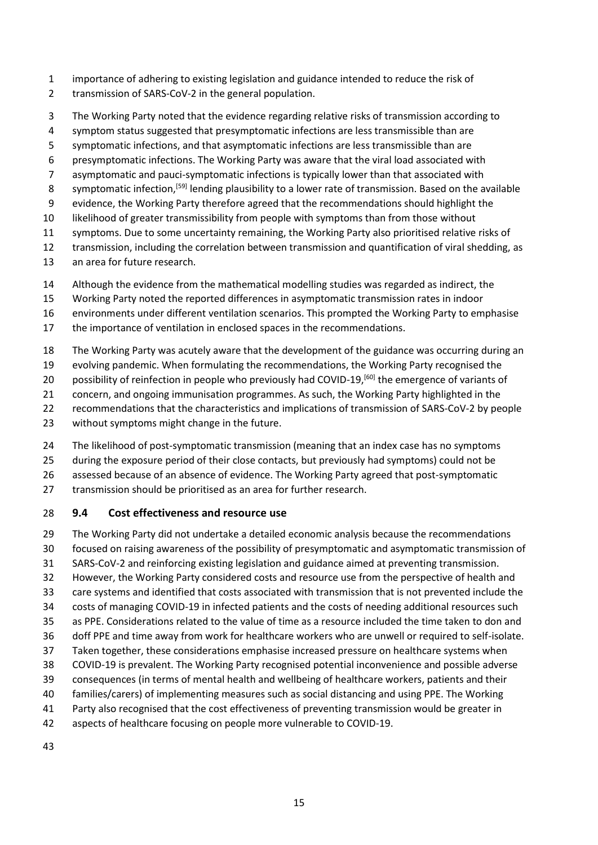- importance of adhering to existing legislation and guidance intended to reduce the risk of
- transmission of SARS-CoV-2 in the general population.
- The Working Party noted that the evidence regarding relative risks of transmission according to
- 4 symptom status suggested that presymptomatic infections are less transmissible than are
- symptomatic infections, and that asymptomatic infections are less transmissible than are
- presymptomatic infections. The Working Party was aware that the viral load associated with
- asymptomatic and pauci-symptomatic infections is typically lower than that associated with
- symptomatic infection,<sup>[59]</sup> lending plausibility to a lower rate of transmission. Based on the available
- evidence, the Working Party therefore agreed that the recommendations should highlight the
- likelihood of greater transmissibility from people with symptoms than from those without
- symptoms. Due to some uncertainty remaining, the Working Party also prioritised relative risks of
- transmission, including the correlation between transmission and quantification of viral shedding, as
- an area for future research.
- Although the evidence from the mathematical modelling studies was regarded as indirect, the
- Working Party noted the reported differences in asymptomatic transmission rates in indoor
- environments under different ventilation scenarios. This prompted the Working Party to emphasise
- the importance of ventilation in enclosed spaces in the recommendations.
- The Working Party was acutely aware that the development of the guidance was occurring during an
- evolving pandemic. When formulating the recommendations, the Working Party recognised the
- 20 possibility of reinfection in people who previously had COVID-19, $[60]$  the emergence of variants of
- concern, and ongoing immunisation programmes. As such, the Working Party highlighted in the
- recommendations that the characteristics and implications of transmission of SARS-CoV-2 by people
- without symptoms might change in the future.
- 24 The likelihood of post-symptomatic transmission (meaning that an index case has no symptoms
- during the exposure period of their close contacts, but previously had symptoms) could not be
- assessed because of an absence of evidence. The Working Party agreed that post-symptomatic
- 27 transmission should be prioritised as an area for further research.

#### **9.4 Cost effectiveness and resource use**

- The Working Party did not undertake a detailed economic analysis because the recommendations focused on raising awareness of the possibility of presymptomatic and asymptomatic transmission of SARS-CoV-2 and reinforcing existing legislation and guidance aimed at preventing transmission. However, the Working Party considered costs and resource use from the perspective of health and care systems and identified that costs associated with transmission that is not prevented include the costs of managing COVID-19 in infected patients and the costs of needing additional resources such as PPE. Considerations related to the value of time as a resource included the time taken to don and doff PPE and time away from work for healthcare workers who are unwell or required to self-isolate. Taken together, these considerations emphasise increased pressure on healthcare systems when COVID-19 is prevalent. The Working Party recognised potential inconvenience and possible adverse
- consequences (in terms of mental health and wellbeing of healthcare workers, patients and their
- families/carers) of implementing measures such as social distancing and using PPE. The Working
- Party also recognised that the cost effectiveness of preventing transmission would be greater in
- aspects of healthcare focusing on people more vulnerable to COVID-19.
-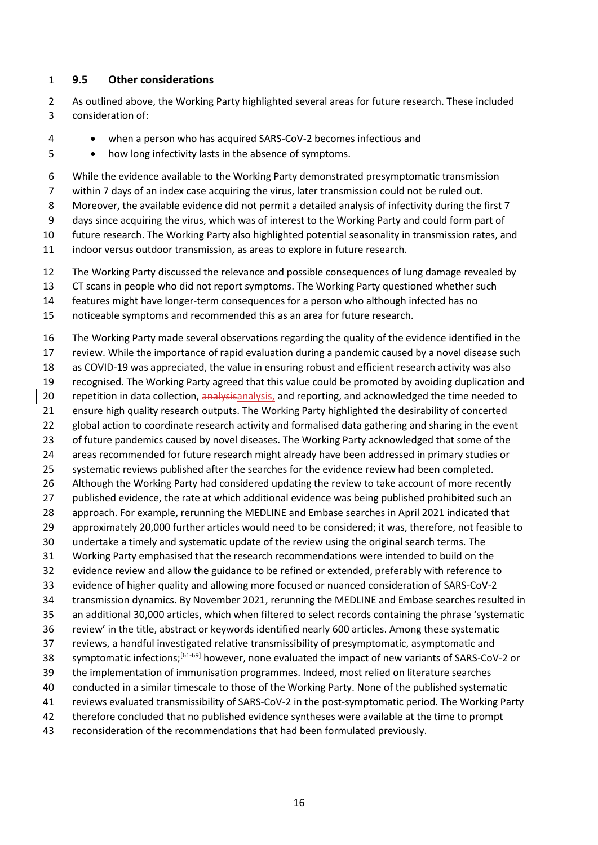#### **9.5 Other considerations**

- As outlined above, the Working Party highlighted several areas for future research. These included consideration of:
- when a person who has acquired SARS-CoV-2 becomes infectious and
- how long infectivity lasts in the absence of symptoms.
- While the evidence available to the Working Party demonstrated presymptomatic transmission
- within 7 days of an index case acquiring the virus, later transmission could not be ruled out.
- Moreover, the available evidence did not permit a detailed analysis of infectivity during the first 7
- days since acquiring the virus, which was of interest to the Working Party and could form part of
- future research. The Working Party also highlighted potential seasonality in transmission rates, and
- indoor versus outdoor transmission, as areas to explore in future research.
- The Working Party discussed the relevance and possible consequences of lung damage revealed by
- CT scans in people who did not report symptoms. The Working Party questioned whether such
- features might have longer-term consequences for a person who although infected has no
- noticeable symptoms and recommended this as an area for future research.

 The Working Party made several observations regarding the quality of the evidence identified in the review. While the importance of rapid evaluation during a pandemic caused by a novel disease such as COVID-19 was appreciated, the value in ensuring robust and efficient research activity was also recognised. The Working Party agreed that this value could be promoted by avoiding duplication and 20 repetition in data collection, analysisanalysis, and reporting, and acknowledged the time needed to ensure high quality research outputs. The Working Party highlighted the desirability of concerted 22 global action to coordinate research activity and formalised data gathering and sharing in the event of future pandemics caused by novel diseases. The Working Party acknowledged that some of the areas recommended for future research might already have been addressed in primary studies or systematic reviews published after the searches for the evidence review had been completed. Although the Working Party had considered updating the review to take account of more recently 27 published evidence, the rate at which additional evidence was being published prohibited such an approach. For example, rerunning the MEDLINE and Embase searches in April 2021 indicated that approximately 20,000 further articles would need to be considered; it was, therefore, not feasible to undertake a timely and systematic update of the review using the original search terms. The Working Party emphasised that the research recommendations were intended to build on the evidence review and allow the guidance to be refined or extended, preferably with reference to evidence of higher quality and allowing more focused or nuanced consideration of SARS-CoV-2 transmission dynamics. By November 2021, rerunning the MEDLINE and Embase searches resulted in an additional 30,000 articles, which when filtered to select records containing the phrase 'systematic review' in the title, abstract or keywords identified nearly 600 articles. Among these systematic reviews, a handful investigated relative transmissibility of presymptomatic, asymptomatic and 38 symptomatic infections;<sup>[61-69]</sup> however, none evaluated the impact of new variants of SARS-CoV-2 or the implementation of immunisation programmes. Indeed, most relied on literature searches conducted in a similar timescale to those of the Working Party. None of the published systematic reviews evaluated transmissibility of SARS-CoV-2 in the post-symptomatic period. The Working Party therefore concluded that no published evidence syntheses were available at the time to prompt reconsideration of the recommendations that had been formulated previously.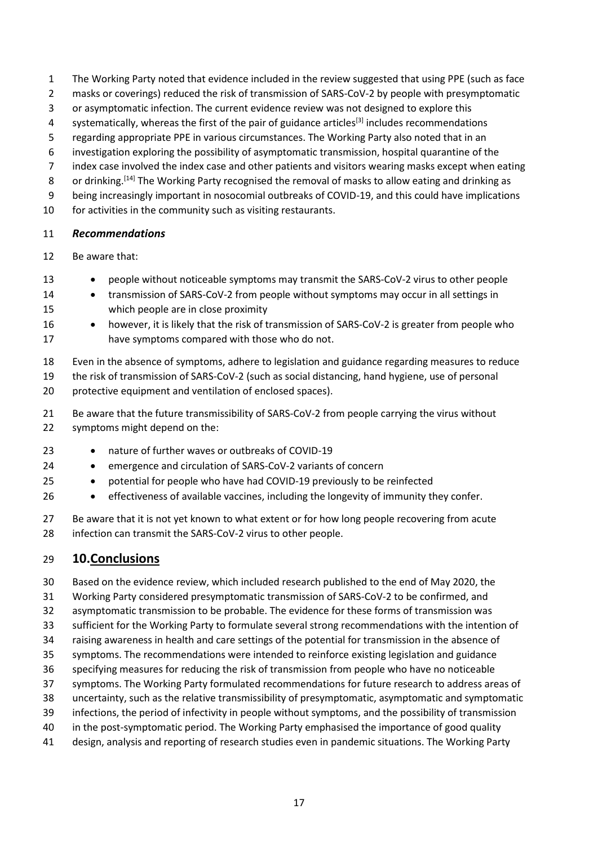- The Working Party noted that evidence included in the review suggested that using PPE (such as face
- masks or coverings) reduced the risk of transmission of SARS-CoV-2 by people with presymptomatic
- or asymptomatic infection. The current evidence review was not designed to explore this
- 4 systematically, whereas the first of the pair of guidance articles<sup>[3]</sup> includes recommendations
- regarding appropriate PPE in various circumstances. The Working Party also noted that in an
- investigation exploring the possibility of asymptomatic transmission, hospital quarantine of the
- index case involved the index case and other patients and visitors wearing masks except when eating
- 8 or drinking.<sup>[14]</sup> The Working Party recognised the removal of masks to allow eating and drinking as
- being increasingly important in nosocomial outbreaks of COVID-19, and this could have implications
- for activities in the community such as visiting restaurants.

#### *Recommendations*

Be aware that:

- people without noticeable symptoms may transmit the SARS-CoV-2 virus to other people
- transmission of SARS-CoV-2 from people without symptoms may occur in all settings in which people are in close proximity
- 16 however, it is likely that the risk of transmission of SARS-CoV-2 is greater from people who have symptoms compared with those who do not.
- Even in the absence of symptoms, adhere to legislation and guidance regarding measures to reduce
- the risk of transmission of SARS-CoV-2 (such as social distancing, hand hygiene, use of personal protective equipment and ventilation of enclosed spaces).
- Be aware that the future transmissibility of SARS-CoV-2 from people carrying the virus without symptoms might depend on the:
- 23 nature of further waves or outbreaks of COVID-19
- emergence and circulation of SARS-CoV-2 variants of concern
- potential for people who have had COVID-19 previously to be reinfected
- effectiveness of available vaccines, including the longevity of immunity they confer.
- 27 Be aware that it is not yet known to what extent or for how long people recovering from acute infection can transmit the SARS-CoV-2 virus to other people.

# **10.Conclusions**

- Based on the evidence review, which included research published to the end of May 2020, the Working Party considered presymptomatic transmission of SARS-CoV-2 to be confirmed, and asymptomatic transmission to be probable. The evidence for these forms of transmission was sufficient for the Working Party to formulate several strong recommendations with the intention of raising awareness in health and care settings of the potential for transmission in the absence of symptoms. The recommendations were intended to reinforce existing legislation and guidance specifying measures for reducing the risk of transmission from people who have no noticeable symptoms. The Working Party formulated recommendations for future research to address areas of uncertainty, such as the relative transmissibility of presymptomatic, asymptomatic and symptomatic infections, the period of infectivity in people without symptoms, and the possibility of transmission 40 in the post-symptomatic period. The Working Party emphasised the importance of good quality
- design, analysis and reporting of research studies even in pandemic situations. The Working Party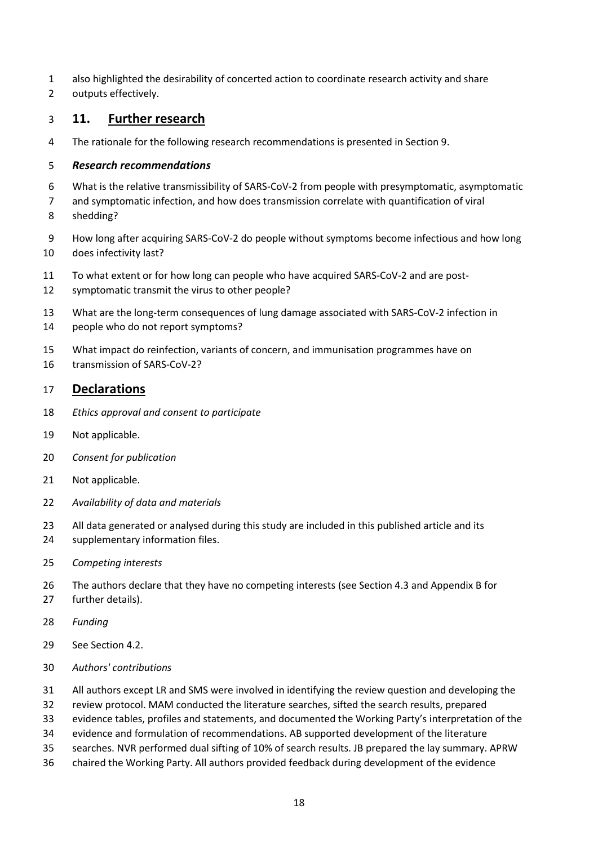- also highlighted the desirability of concerted action to coordinate research activity and share
- outputs effectively.

#### **11. Further research**

The rationale for the following research recommendations is presented in Section 9.

#### *Research recommendations*

- What is the relative transmissibility of SARS-CoV-2 from people with presymptomatic, asymptomatic
- and symptomatic infection, and how does transmission correlate with quantification of viral
- shedding?
- How long after acquiring SARS-CoV-2 do people without symptoms become infectious and how long does infectivity last?
- To what extent or for how long can people who have acquired SARS-CoV-2 and are post-
- symptomatic transmit the virus to other people?
- What are the long-term consequences of lung damage associated with SARS-CoV-2 infection in
- people who do not report symptoms?
- What impact do reinfection, variants of concern, and immunisation programmes have on
- transmission of SARS-CoV-2?

#### **Declarations**

- *Ethics approval and consent to participate*
- Not applicable.
- *Consent for publication*
- Not applicable.
- *Availability of data and materials*
- 23 All data generated or analysed during this study are included in this published article and its
- supplementary information files.
- *Competing interests*
- The authors declare that they have no competing interests (see Section 4.3 and Appendix B for further details).
- *Funding*
- See Section 4.2.
- *Authors' contributions*
- All authors except LR and SMS were involved in identifying the review question and developing the
- review protocol. MAM conducted the literature searches, sifted the search results, prepared
- evidence tables, profiles and statements, and documented the Working Party's interpretation of the
- evidence and formulation of recommendations. AB supported development of the literature
- searches. NVR performed dual sifting of 10% of search results. JB prepared the lay summary. APRW
- chaired the Working Party. All authors provided feedback during development of the evidence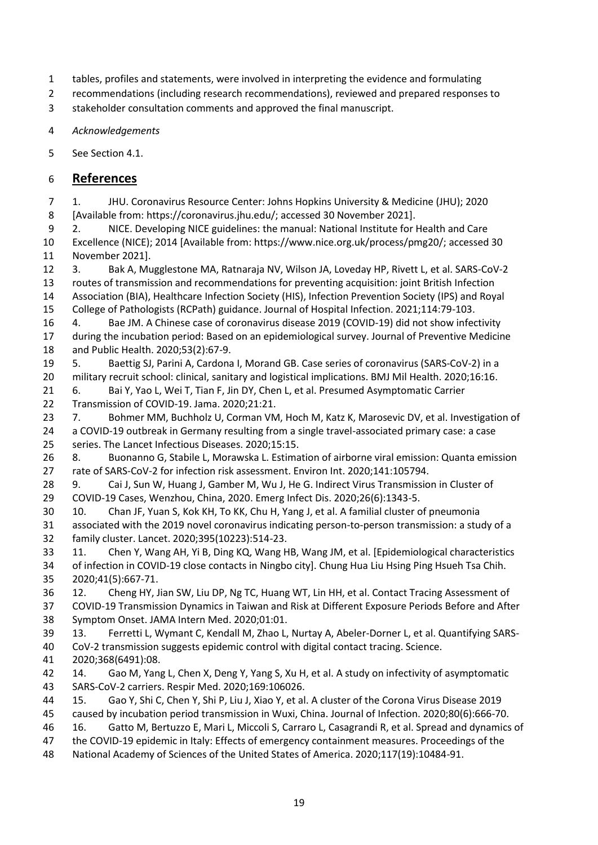- tables, profiles and statements, were involved in interpreting the evidence and formulating
- recommendations (including research recommendations), reviewed and prepared responses to
- stakeholder consultation comments and approved the final manuscript.
- *Acknowledgements*
- See Section 4.1.

## **References**

 1. JHU. Coronavirus Resource Center: Johns Hopkins University & Medicine (JHU); 2020 [Available from: https://coronavirus.jhu.edu/; accessed 30 November 2021].

2. NICE. Developing NICE guidelines: the manual: National Institute for Health and Care

 Excellence (NICE); 2014 [Available from: https://www.nice.org.uk/process/pmg20/; accessed 30 November 2021].

 3. Bak A, Mugglestone MA, Ratnaraja NV, Wilson JA, Loveday HP, Rivett L, et al. SARS-CoV-2 routes of transmission and recommendations for preventing acquisition: joint British Infection Association (BIA), Healthcare Infection Society (HIS), Infection Prevention Society (IPS) and Royal

College of Pathologists (RCPath) guidance. Journal of Hospital Infection. 2021;114:79-103.

- 4. Bae JM. A Chinese case of coronavirus disease 2019 (COVID-19) did not show infectivity during the incubation period: Based on an epidemiological survey. Journal of Preventive Medicine and Public Health. 2020;53(2):67-9.
- 5. Baettig SJ, Parini A, Cardona I, Morand GB. Case series of coronavirus (SARS-CoV-2) in a military recruit school: clinical, sanitary and logistical implications. BMJ Mil Health. 2020;16:16.
- 6. Bai Y, Yao L, Wei T, Tian F, Jin DY, Chen L, et al. Presumed Asymptomatic Carrier Transmission of COVID-19. Jama. 2020;21:21.
- 23 7. Bohmer MM, Buchholz U, Corman VM, Hoch M, Katz K, Marosevic DV, et al. Investigation of a COVID-19 outbreak in Germany resulting from a single travel-associated primary case: a case
- series. The Lancet Infectious Diseases. 2020;15:15.

 8. Buonanno G, Stabile L, Morawska L. Estimation of airborne viral emission: Quanta emission rate of SARS-CoV-2 for infection risk assessment. Environ Int. 2020;141:105794.

- 28 9. Cai J, Sun W, Huang J, Gamber M, Wu J, He G. Indirect Virus Transmission in Cluster of COVID-19 Cases, Wenzhou, China, 2020. Emerg Infect Dis. 2020;26(6):1343-5.
- 10. Chan JF, Yuan S, Kok KH, To KK, Chu H, Yang J, et al. A familial cluster of pneumonia associated with the 2019 novel coronavirus indicating person-to-person transmission: a study of a family cluster. Lancet. 2020;395(10223):514-23.
- 11. Chen Y, Wang AH, Yi B, Ding KQ, Wang HB, Wang JM, et al. [Epidemiological characteristics of infection in COVID-19 close contacts in Ningbo city]. Chung Hua Liu Hsing Ping Hsueh Tsa Chih. 2020;41(5):667-71.
- 12. Cheng HY, Jian SW, Liu DP, Ng TC, Huang WT, Lin HH, et al. Contact Tracing Assessment of COVID-19 Transmission Dynamics in Taiwan and Risk at Different Exposure Periods Before and After Symptom Onset. JAMA Intern Med. 2020;01:01.
- 13. Ferretti L, Wymant C, Kendall M, Zhao L, Nurtay A, Abeler-Dorner L, et al. Quantifying SARS-CoV-2 transmission suggests epidemic control with digital contact tracing. Science.
- 2020;368(6491):08.
- 14. Gao M, Yang L, Chen X, Deng Y, Yang S, Xu H, et al. A study on infectivity of asymptomatic SARS-CoV-2 carriers. Respir Med. 2020;169:106026.
- 15. Gao Y, Shi C, Chen Y, Shi P, Liu J, Xiao Y, et al. A cluster of the Corona Virus Disease 2019 caused by incubation period transmission in Wuxi, China. Journal of Infection. 2020;80(6):666-70.
- 16. Gatto M, Bertuzzo E, Mari L, Miccoli S, Carraro L, Casagrandi R, et al. Spread and dynamics of
- the COVID-19 epidemic in Italy: Effects of emergency containment measures. Proceedings of the
- National Academy of Sciences of the United States of America. 2020;117(19):10484-91.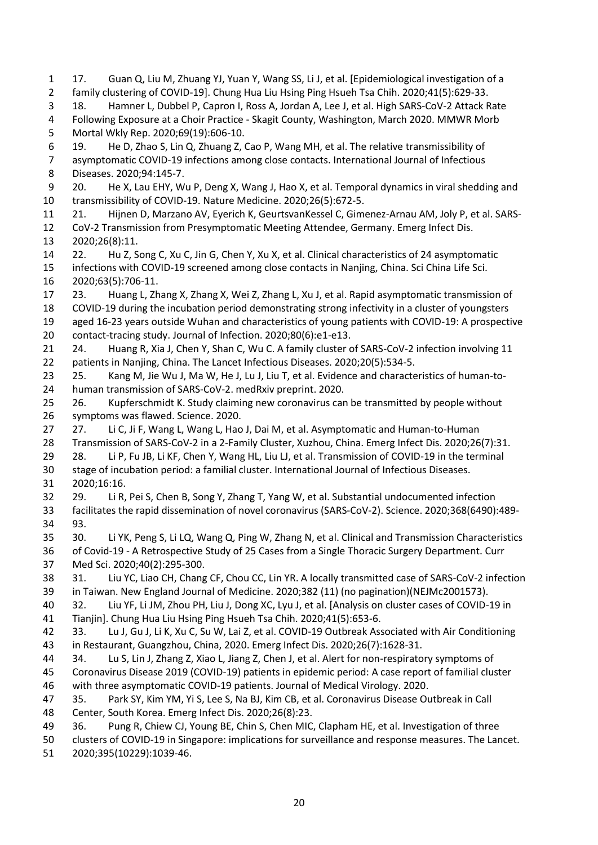17. Guan Q, Liu M, Zhuang YJ, Yuan Y, Wang SS, Li J, et al. [Epidemiological investigation of a family clustering of COVID-19]. Chung Hua Liu Hsing Ping Hsueh Tsa Chih. 2020;41(5):629-33. 18. Hamner L, Dubbel P, Capron I, Ross A, Jordan A, Lee J, et al. High SARS-CoV-2 Attack Rate Following Exposure at a Choir Practice - Skagit County, Washington, March 2020. MMWR Morb Mortal Wkly Rep. 2020;69(19):606-10. 19. He D, Zhao S, Lin Q, Zhuang Z, Cao P, Wang MH, et al. The relative transmissibility of asymptomatic COVID-19 infections among close contacts. International Journal of Infectious Diseases. 2020;94:145-7. 20. He X, Lau EHY, Wu P, Deng X, Wang J, Hao X, et al. Temporal dynamics in viral shedding and transmissibility of COVID-19. Nature Medicine. 2020;26(5):672-5. 21. Hijnen D, Marzano AV, Eyerich K, GeurtsvanKessel C, Gimenez-Arnau AM, Joly P, et al. SARS- CoV-2 Transmission from Presymptomatic Meeting Attendee, Germany. Emerg Infect Dis. 2020;26(8):11. 22. Hu Z, Song C, Xu C, Jin G, Chen Y, Xu X, et al. Clinical characteristics of 24 asymptomatic infections with COVID-19 screened among close contacts in Nanjing, China. Sci China Life Sci. 2020;63(5):706-11. 23. Huang L, Zhang X, Zhang X, Wei Z, Zhang L, Xu J, et al. Rapid asymptomatic transmission of COVID-19 during the incubation period demonstrating strong infectivity in a cluster of youngsters aged 16-23 years outside Wuhan and characteristics of young patients with COVID-19: A prospective contact-tracing study. Journal of Infection. 2020;80(6):e1-e13. 24. Huang R, Xia J, Chen Y, Shan C, Wu C. A family cluster of SARS-CoV-2 infection involving 11 patients in Nanjing, China. The Lancet Infectious Diseases. 2020;20(5):534-5. 25. Kang M, Jie Wu J, Ma W, He J, Lu J, Liu T, et al. Evidence and characteristics of human-to- human transmission of SARS-CoV-2. medRxiv preprint. 2020. 26. Kupferschmidt K. Study claiming new coronavirus can be transmitted by people without symptoms was flawed. Science. 2020. 27 27. Li C, Ji F, Wang L, Wang L, Hao J, Dai M, et al. Asymptomatic and Human-to-Human Transmission of SARS-CoV-2 in a 2-Family Cluster, Xuzhou, China. Emerg Infect Dis. 2020;26(7):31. 28. Li P, Fu JB, Li KF, Chen Y, Wang HL, Liu LJ, et al. Transmission of COVID-19 in the terminal stage of incubation period: a familial cluster. International Journal of Infectious Diseases. 2020;16:16. 29. Li R, Pei S, Chen B, Song Y, Zhang T, Yang W, et al. Substantial undocumented infection facilitates the rapid dissemination of novel coronavirus (SARS-CoV-2). Science. 2020;368(6490):489- 93. 30. Li YK, Peng S, Li LQ, Wang Q, Ping W, Zhang N, et al. Clinical and Transmission Characteristics of Covid-19 - A Retrospective Study of 25 Cases from a Single Thoracic Surgery Department. Curr Med Sci. 2020;40(2):295-300. 31. Liu YC, Liao CH, Chang CF, Chou CC, Lin YR. A locally transmitted case of SARS-CoV-2 infection in Taiwan. New England Journal of Medicine. 2020;382 (11) (no pagination)(NEJMc2001573). 32. Liu YF, Li JM, Zhou PH, Liu J, Dong XC, Lyu J, et al. [Analysis on cluster cases of COVID-19 in Tianjin]. Chung Hua Liu Hsing Ping Hsueh Tsa Chih. 2020;41(5):653-6. 33. Lu J, Gu J, Li K, Xu C, Su W, Lai Z, et al. COVID-19 Outbreak Associated with Air Conditioning in Restaurant, Guangzhou, China, 2020. Emerg Infect Dis. 2020;26(7):1628-31. 34. Lu S, Lin J, Zhang Z, Xiao L, Jiang Z, Chen J, et al. Alert for non-respiratory symptoms of Coronavirus Disease 2019 (COVID-19) patients in epidemic period: A case report of familial cluster with three asymptomatic COVID-19 patients. Journal of Medical Virology. 2020. 35. Park SY, Kim YM, Yi S, Lee S, Na BJ, Kim CB, et al. Coronavirus Disease Outbreak in Call Center, South Korea. Emerg Infect Dis. 2020;26(8):23. 36. Pung R, Chiew CJ, Young BE, Chin S, Chen MIC, Clapham HE, et al. Investigation of three clusters of COVID-19 in Singapore: implications for surveillance and response measures. The Lancet.

2020;395(10229):1039-46.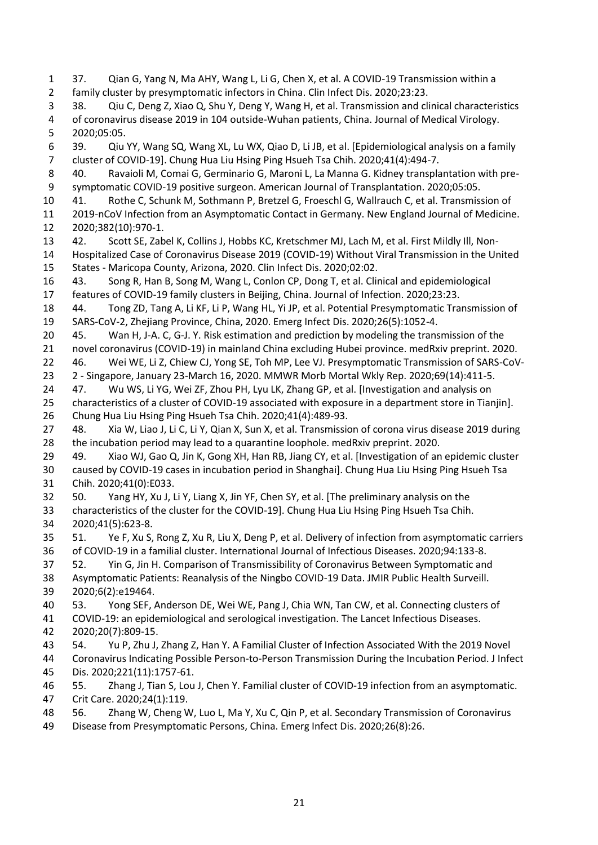37. Qian G, Yang N, Ma AHY, Wang L, Li G, Chen X, et al. A COVID-19 Transmission within a family cluster by presymptomatic infectors in China. Clin Infect Dis. 2020;23:23. 38. Qiu C, Deng Z, Xiao Q, Shu Y, Deng Y, Wang H, et al. Transmission and clinical characteristics of coronavirus disease 2019 in 104 outside-Wuhan patients, China. Journal of Medical Virology. 2020;05:05. 39. Qiu YY, Wang SQ, Wang XL, Lu WX, Qiao D, Li JB, et al. [Epidemiological analysis on a family cluster of COVID-19]. Chung Hua Liu Hsing Ping Hsueh Tsa Chih. 2020;41(4):494-7. 40. Ravaioli M, Comai G, Germinario G, Maroni L, La Manna G. Kidney transplantation with pre- symptomatic COVID-19 positive surgeon. American Journal of Transplantation. 2020;05:05. 41. Rothe C, Schunk M, Sothmann P, Bretzel G, Froeschl G, Wallrauch C, et al. Transmission of 2019-nCoV Infection from an Asymptomatic Contact in Germany. New England Journal of Medicine. 2020;382(10):970-1. 42. Scott SE, Zabel K, Collins J, Hobbs KC, Kretschmer MJ, Lach M, et al. First Mildly Ill, Non- Hospitalized Case of Coronavirus Disease 2019 (COVID-19) Without Viral Transmission in the United States - Maricopa County, Arizona, 2020. Clin Infect Dis. 2020;02:02. 43. Song R, Han B, Song M, Wang L, Conlon CP, Dong T, et al. Clinical and epidemiological features of COVID-19 family clusters in Beijing, China. Journal of Infection. 2020;23:23. 44. Tong ZD, Tang A, Li KF, Li P, Wang HL, Yi JP, et al. Potential Presymptomatic Transmission of SARS-CoV-2, Zhejiang Province, China, 2020. Emerg Infect Dis. 2020;26(5):1052-4. 45. Wan H, J-A. C, G-J. Y. Risk estimation and prediction by modeling the transmission of the novel coronavirus (COVID-19) in mainland China excluding Hubei province. medRxiv preprint. 2020. 46. Wei WE, Li Z, Chiew CJ, Yong SE, Toh MP, Lee VJ. Presymptomatic Transmission of SARS-CoV- 2 - Singapore, January 23-March 16, 2020. MMWR Morb Mortal Wkly Rep. 2020;69(14):411-5. 24 47. Wu WS, Li YG, Wei ZF, Zhou PH, Lyu LK, Zhang GP, et al. [Investigation and analysis on characteristics of a cluster of COVID-19 associated with exposure in a department store in Tianjin]. Chung Hua Liu Hsing Ping Hsueh Tsa Chih. 2020;41(4):489-93. 48. Xia W, Liao J, Li C, Li Y, Qian X, Sun X, et al. Transmission of corona virus disease 2019 during the incubation period may lead to a quarantine loophole. medRxiv preprint. 2020. 49. Xiao WJ, Gao Q, Jin K, Gong XH, Han RB, Jiang CY, et al. [Investigation of an epidemic cluster caused by COVID-19 cases in incubation period in Shanghai]. Chung Hua Liu Hsing Ping Hsueh Tsa Chih. 2020;41(0):E033. 50. Yang HY, Xu J, Li Y, Liang X, Jin YF, Chen SY, et al. [The preliminary analysis on the characteristics of the cluster for the COVID-19]. Chung Hua Liu Hsing Ping Hsueh Tsa Chih. 2020;41(5):623-8. 51. Ye F, Xu S, Rong Z, Xu R, Liu X, Deng P, et al. Delivery of infection from asymptomatic carriers of COVID-19 in a familial cluster. International Journal of Infectious Diseases. 2020;94:133-8. 52. Yin G, Jin H. Comparison of Transmissibility of Coronavirus Between Symptomatic and Asymptomatic Patients: Reanalysis of the Ningbo COVID-19 Data. JMIR Public Health Surveill. 2020;6(2):e19464. 53. Yong SEF, Anderson DE, Wei WE, Pang J, Chia WN, Tan CW, et al. Connecting clusters of COVID-19: an epidemiological and serological investigation. The Lancet Infectious Diseases. 2020;20(7):809-15. 54. Yu P, Zhu J, Zhang Z, Han Y. A Familial Cluster of Infection Associated With the 2019 Novel Coronavirus Indicating Possible Person-to-Person Transmission During the Incubation Period. J Infect Dis. 2020;221(11):1757-61. 55. Zhang J, Tian S, Lou J, Chen Y. Familial cluster of COVID-19 infection from an asymptomatic. Crit Care. 2020;24(1):119. 56. Zhang W, Cheng W, Luo L, Ma Y, Xu C, Qin P, et al. Secondary Transmission of Coronavirus Disease from Presymptomatic Persons, China. Emerg Infect Dis. 2020;26(8):26.